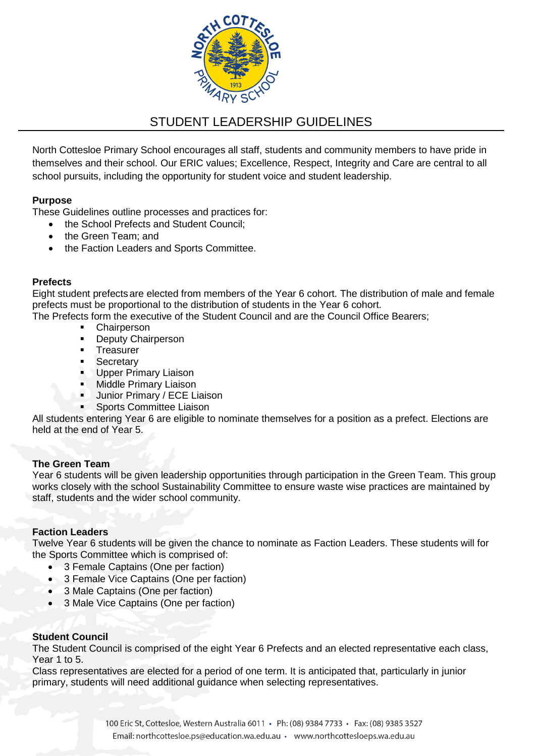

# STUDENT LEADERSHIP GUIDELINES

North Cottesloe Primary School encourages all staff, students and community members to have pride in themselves and their school. Our ERIC values; Excellence, Respect, Integrity and Care are central to all school pursuits, including the opportunity for student voice and student leadership.

## **Purpose**

These Guidelines outline processes and practices for:

- the School Prefects and Student Council:
- the Green Team; and
- the Faction Leaders and Sports Committee.

## **Prefects**

Eight student prefectsare elected from members of the Year 6 cohort. The distribution of male and female prefects must be proportional to the distribution of students in the Year 6 cohort.

The Prefects form the executive of the Student Council and are the Council Office Bearers;

- **Chairperson**
- **Deputy Chairperson**
- **Treasurer**
- **Secretary**
- **Upper Primary Liaison**
- **Middle Primary Liaison**
- Junior Primary / ECE Liaison
- Sports Committee Liaison

All students entering Year 6 are eligible to nominate themselves for a position as a prefect. Elections are held at the end of Year 5.

## **The Green Team**

Year 6 students will be given leadership opportunities through participation in the Green Team. This group works closely with the school Sustainability Committee to ensure waste wise practices are maintained by staff, students and the wider school community.

## **Faction Leaders**

Twelve Year 6 students will be given the chance to nominate as Faction Leaders. These students will for the Sports Committee which is comprised of:

- 3 Female Captains (One per faction)
- 3 Female Vice Captains (One per faction)
- 3 Male Captains (One per faction)
- 3 Male Vice Captains (One per faction)

## **Student Council**

The Student Council is comprised of the eight Year 6 Prefects and an elected representative each class, Year 1 to 5.

Class representatives are elected for a period of one term. It is anticipated that, particularly in junior primary, students will need additional guidance when selecting representatives.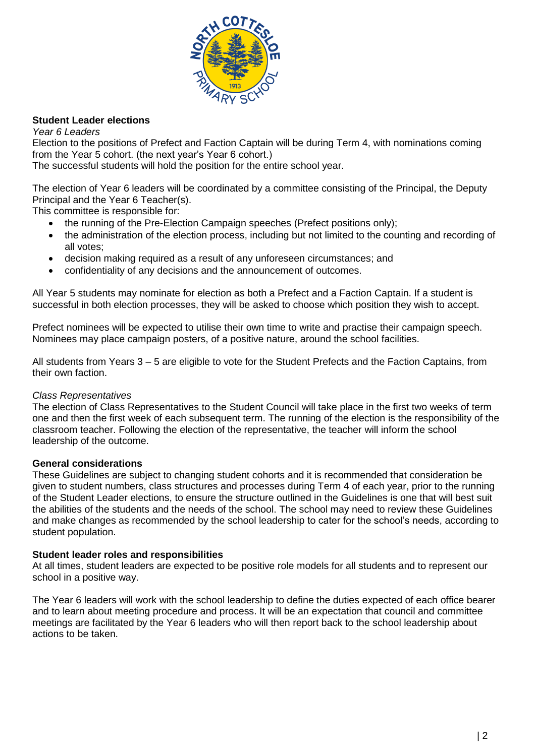

## **Student Leader elections**

*Year 6 Leaders*

Election to the positions of Prefect and Faction Captain will be during Term 4, with nominations coming from the Year 5 cohort. (the next year's Year 6 cohort.)

The successful students will hold the position for the entire school year.

The election of Year 6 leaders will be coordinated by a committee consisting of the Principal, the Deputy Principal and the Year 6 Teacher(s).

This committee is responsible for:

- the running of the Pre-Election Campaign speeches (Prefect positions only);
- the administration of the election process, including but not limited to the counting and recording of all votes;
- decision making required as a result of any unforeseen circumstances; and
- confidentiality of any decisions and the announcement of outcomes.

All Year 5 students may nominate for election as both a Prefect and a Faction Captain. If a student is successful in both election processes, they will be asked to choose which position they wish to accept.

Prefect nominees will be expected to utilise their own time to write and practise their campaign speech. Nominees may place campaign posters, of a positive nature, around the school facilities.

All students from Years 3 – 5 are eligible to vote for the Student Prefects and the Faction Captains, from their own faction.

## *Class Representatives*

The election of Class Representatives to the Student Council will take place in the first two weeks of term one and then the first week of each subsequent term. The running of the election is the responsibility of the classroom teacher. Following the election of the representative, the teacher will inform the school leadership of the outcome.

## **General considerations**

These Guidelines are subject to changing student cohorts and it is recommended that consideration be given to student numbers, class structures and processes during Term 4 of each year, prior to the running of the Student Leader elections, to ensure the structure outlined in the Guidelines is one that will best suit the abilities of the students and the needs of the school. The school may need to review these Guidelines and make changes as recommended by the school leadership to cater for the school's needs, according to student population.

## **Student leader roles and responsibilities**

At all times, student leaders are expected to be positive role models for all students and to represent our school in a positive way.

The Year 6 leaders will work with the school leadership to define the duties expected of each office bearer and to learn about meeting procedure and process. It will be an expectation that council and committee meetings are facilitated by the Year 6 leaders who will then report back to the school leadership about actions to be taken.